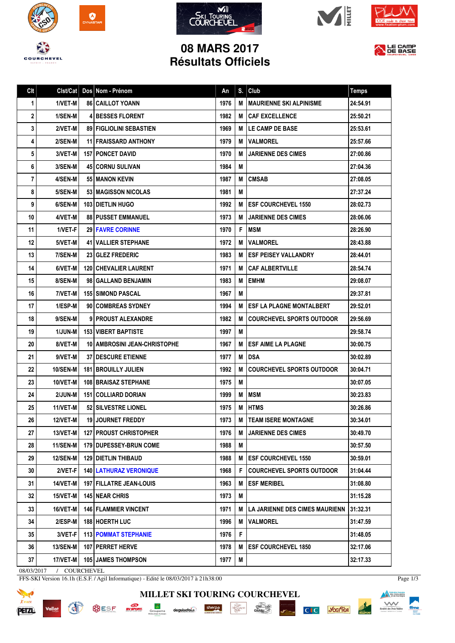









LE CAMP

## **08 MARS 2017 Résultats Officiels**

| Clt | Clst/Cat        | Dos Nom - Prénom                 | An   | S. | Club                                      | <b>Temps</b> |
|-----|-----------------|----------------------------------|------|----|-------------------------------------------|--------------|
| 1   | 1/VET-M         | <b>86 CAILLOT YOANN</b>          | 1976 | M  | I MAURIENNE SKI ALPINISME                 | 24:54.91     |
| 2   | 1/SEN-M         | <b>4 BESSES FLORENT</b>          | 1982 |    | <b>M ICAF EXCELLENCE</b>                  | 25:50.21     |
| 3   | 2/VET-M         | <b>89   FIGLIOLINI SEBASTIEN</b> | 1969 | м  | <b>ILE CAMP DE BASE</b>                   | 25:53.61     |
| 4   | 2/SEN-M         | <b>11 FRAISSARD ANTHONY</b>      | 1979 | М  | <b>IVALMOREL</b>                          | 25:57.66     |
| 5   | 3/VET-M         | <b>157   PONCET DAVID</b>        | 1970 | М  | <b>JARIENNE DES CIMES</b>                 | 27:00.86     |
| 6   | 3/SEN-M         | <b>45 CORNU SULIVAN</b>          | 1984 | M  |                                           | 27:04.36     |
| 7   | 4/SEN-M         | 55   MANON KEVIN                 | 1987 | M  | <b>CMSAB</b>                              | 27:08.05     |
| 8   | 5/SEN-M         | <b>53   MAGISSON NICOLAS</b>     | 1981 | M  |                                           | 27:37.24     |
| 9   | 6/SEN-M         | <b>103 I DIETLIN HUGO</b>        | 1992 | M  | <b>IESF COURCHEVEL 1550</b>               | 28:02.73     |
| 10  | 4/VET-M         | <b>88   PUSSET EMMANUEL</b>      | 1973 | M  | <b>JARIENNE DES CIMES</b>                 | 28:06.06     |
| 11  | 1/VET-F         | <b>29 FAVRE CORINNE</b>          | 1970 | F  | <b>IMSM</b>                               | 28:26.90     |
| 12  | 5/VET-M         | <b>41 VALLIER STEPHANE</b>       | 1972 | M  | <b>IVALMOREL</b>                          | 28:43.88     |
| 13  | 7/SEN-M         | <b>23 GLEZ FREDERIC</b>          | 1983 | м  | <b>IESF PEISEY VALLANDRY</b>              | 28:44.01     |
| 14  | 6/VET-M         | <b>120 CHEVALIER LAURENT</b>     | 1971 | м  | <b>CAF ALBERTVILLE</b>                    | 28:54.74     |
| 15  | 8/SEN-M         | 98   GALLAND BENJAMIN            | 1983 | M  | <b>EMHM</b>                               | 29:08.07     |
| 16  | 7/VET-M         | 155 SIMOND PASCAL                | 1967 | M  |                                           | 29:37.81     |
| 17  | 1/ESP-M         | 90 COMBREAS SYDNEY               | 1994 | м  | <b>IESF LA PLAGNE MONTALBERT</b>          | 29:52.01     |
| 18  | 9/SEN-M         | 9 PROUST ALEXANDRE               | 1982 | м  | <b>COURCHEVEL SPORTS OUTDOOR</b>          | 29:56.69     |
| 19  | 1/JUN-M         | <b>153 VIBERT BAPTISTE</b>       | 1997 | M  |                                           | 29:58.74     |
| 20  | 8/VET-M         | 10   AMBROSINI JEAN-CHRISTOPHE   | 1967 | M  | <b>ESF AIME LA PLAGNE</b>                 | 30:00.75     |
| 21  | 9/VET-M         | <b>37 I DESCURE ETIENNE</b>      | 1977 | M  | <b>DSA</b>                                | 30:02.89     |
| 22  | <b>10/SEN-M</b> | <b>181   BROUILLY JULIEN</b>     | 1992 | M  | <b>COURCHEVEL SPORTS OUTDOOR</b>          | 30:04.71     |
| 23  | 10/VET-M        | <b>108 BRAISAZ STEPHANE</b>      | 1975 | M  |                                           | 30:07.05     |
| 24  | 2/JUN-M         | 151   COLLIARD DORIAN            | 1999 | M  | <b>MSM</b>                                | 30:23.83     |
| 25  | 11/VET-M        | 52 SILVESTRE LIONEL              | 1975 | M  | <b>IHTMS</b>                              | 30:26.86     |
| 26  | <b>12/VET-M</b> | <b>19 JOURNET FREDDY</b>         | 1973 | M  | <b>TEAM ISERE MONTAGNE</b>                | 30:34.01     |
| 27  | 13/VET-M        | <b>127 PROUST CHRISTOPHER</b>    | 1976 | M  | <b>JARIENNE DES CIMES</b>                 | 30:49.70     |
| 28  | 11/SEN-M        | 179 DUPESSEY-BRUN COME           | 1988 | M  |                                           | 30:57.50     |
| 29  | <b>12/SEN-M</b> | <b>129 DIETLIN THIBAUD</b>       | 1988 | М  | <b>ESF COURCHEVEL 1550</b>                | 30:59.01     |
| 30  | 2/VET-F         | <b>140   LATHURAZ VERONIQUE</b>  | 1968 | F. | <b>COURCHEVEL SPORTS OUTDOOR</b>          | 31:04.44     |
| 31  | 14/VET-M        | 197   FILLATRE JEAN-LOUIS        | 1963 | м  | <b>IESF MERIBEL</b>                       | 31:08.80     |
| 32  | 15/VET-M        | 145 NEAR CHRIS                   | 1973 | М  |                                           | 31:15.28     |
| 33  | 16/VET-M        | <b>146   FLAMMIER VINCENT</b>    | 1971 |    | <b>M   LA JARIENNE DES CIMES MAURIENN</b> | 31:32.31     |
| 34  | 2/ESP-M         | 188 HOERTH LUC                   | 1996 |    | <b>M VALMOREL</b>                         | 31:47.59     |
| 35  | 3/VET-F         | <b>113 POMMAT STEPHANIE</b>      | 1976 | F  |                                           | 31:48.05     |
| 36  | <b>13/SEN-M</b> | 107 PERRET HERVE                 | 1978 | М  | <b>IESF COURCHEVEL 1850</b>               | 32:17.06     |
| 37  | 17/VET-M        | <b>105 JAMES THOMPSON</b>        | 1977 | M  |                                           | 32:17.33     |

**MILLET SKI TOURING COURCHEVEL**

 $\begin{tabular}{|c|c|} \hline & \multicolumn{1}{|c|}{\multicolumn{1}{|c|}{\multicolumn{1}{|c|}{\multicolumn{1}{c|}{\multicolumn{1}{c|}{\multicolumn{1}{c|}{\multicolumn{1}{c|}{\multicolumn{1}{c|}{\multicolumn{1}{c|}{\multicolumn{1}{c|}{\multicolumn{1}{c|}{\multicolumn{1}{c|}{\multicolumn{1}{c|}{\multicolumn{1}{c|}{\multicolumn{1}{c|}{\multicolumn{1}{c|}{\multicolumn{1}{c|}{\multicolumn{1}{c|}{\multicolumn{1}{c|}{\multicolumn{1}{c|}{\$ 

 $\frac{\text{chez}}{\text{Caulolig}}$ 

**PISTE NOIRE** 

**C**<sub>I</sub>C *S*GGITEA

08/03/2017 / COURCHEVEL

Vallat

**REAL** 

FFS-SKI Version 16.1h (E.S.F. / Agil Informatique) - Edité le 08/03/2017 à 21h38:00

SESE **EVERENT** Groupama deguisetoi. Sherpa



Page 1/3

**Alexander School School Service School School Service School School Service School Service School Service School**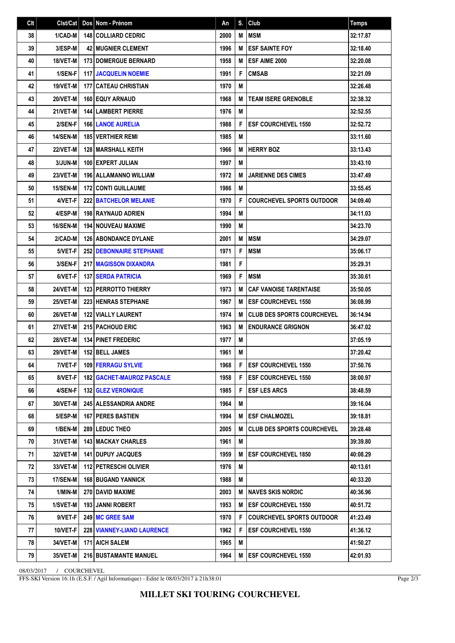| Clt | Clst/Cat        | Dos Nom - Prénom                   | An   | S. | Club                              | <b>Temps</b> |
|-----|-----------------|------------------------------------|------|----|-----------------------------------|--------------|
| 38  | 1/CAD-M         | 148 COLLIARD CEDRIC                | 2000 | M  | <b>IMSM</b>                       | 32:17.87     |
| 39  | 3/ESP-M         | <b>42 MUGNIER CLEMENT</b>          | 1996 | M  | <b>ESF SAINTE FOY</b>             | 32:18.40     |
| 40  | 18/VET-M        | <b>173 I DOMERGUE BERNARD</b>      | 1958 | M  | <b>ESF AIME 2000</b>              | 32:20.08     |
| 41  | 1/SEN-F         | 117 JACQUELIN NOEMIE               | 1991 | F  | <b>CMSAB</b>                      | 32:21.09     |
| 42  | 19/VET-M        | <b>177 CATEAU CHRISTIAN</b>        | 1970 | M  |                                   | 32:26.48     |
| 43  | 20/VET-M        | <b>160 EQUY ARNAUD</b>             | 1968 | M  | <b>TEAM ISERE GRENOBLE</b>        | 32:38.32     |
| 44  | <b>21/VET-M</b> | <b>144 LAMBERT PIERRE</b>          | 1976 | M  |                                   | 32:52.55     |
| 45  | 2/SEN-F         | <b>166 LANOE AURELIA</b>           | 1988 | F  | <b>ESF COURCHEVEL 1550</b>        | 32:52.72     |
| 46  | 14/SEN-M        | <b>185 VERTHIER REMI</b>           | 1985 | M  |                                   | 33:11.60     |
| 47  | <b>22/VET-M</b> | <b>128   MARSHALL KEITH</b>        | 1966 | M  | <b>HERRY BOZ</b>                  | 33:13.43     |
| 48  | 3/JUN-M         | 100 EXPERT JULIAN                  | 1997 | M  |                                   | 33:43.10     |
| 49  | 23/VET-M        | 196   ALLAMANNO WILLIAM            | 1972 | M  | <b>JARIENNE DES CIMES</b>         | 33:47.49     |
| 50  | 15/SEN-M        | <b>172 CONTI GUILLAUME</b>         | 1986 | M  |                                   | 33:55.45     |
| 51  | 4/VET-F         | <b>222 BATCHELOR MELANIE</b>       | 1970 | F  | <b>COURCHEVEL SPORTS OUTDOOR</b>  | 34:09.40     |
| 52  | 4/ESP-M         | <b>198 RAYNAUD ADRIEN</b>          | 1994 | M  |                                   | 34:11.03     |
| 53  | 16/SEN-M        | <b>194 I NOUVEAU MAXIME</b>        | 1990 | M  |                                   | 34:23.70     |
| 54  | 2/CAD-M         | <b>126 ABONDANCE DYLANE</b>        | 2001 | M  | <b>IMSM</b>                       | 34:29.07     |
| 55  | 5/VET-F         | <b>252 DEBONNAIRE STEPHANIE</b>    | 1971 | F  | <b>MSM</b>                        | 35:06.17     |
| 56  | 3/SEN-F         | <b>217 IMAGISSON DIXANDRA</b>      | 1981 | F  |                                   | 35:29.31     |
| 57  | 6/VET-F         | <b>137 SERDA PATRICIA</b>          | 1969 | F  | <b>MSM</b>                        | 35:30.61     |
| 58  | 24/VET-M        | <b>123 PERROTTO THIERRY</b>        | 1973 | M  | <b>CAF VANOISE TARENTAISE</b>     | 35:50.05     |
| 59  | 25/VET-M        | <b>223 HENRAS STEPHANE</b>         | 1967 | M  | <b>ESF COURCHEVEL 1550</b>        | 36:08.99     |
| 60  | 26/VET-M        | <b>122 VIALLY LAURENT</b>          | 1974 | M  | <b>CLUB DES SPORTS COURCHEVEL</b> | 36:14.94     |
| 61  | <b>27/VET-M</b> | 215 PACHOUD ERIC                   | 1963 | M  | <b>ENDURANCE GRIGNON</b>          | 36:47.02     |
| 62  | <b>28/VET-M</b> | <b>134 PINET FREDERIC</b>          | 1977 | M  |                                   | 37:05.19     |
| 63  | 29/VET-M        | 152 BELL JAMES                     | 1961 | M  |                                   | 37:20.42     |
| 64  | $7/VET-F$       | 109 FERRAGU SYLVIE                 | 1968 |    | F   ESF COURCHEVEL 1550           | 37:50.76     |
| 65  | 8/VET-F         | <b>182   GACHET-MAUROZ PASCALE</b> | 1958 | F  | <b>IESF COURCHEVEL 1550</b>       | 38:00.97     |
| 66  | 4/SEN-F         | <b>132 GLEZ VERONIQUE</b>          | 1985 | F  | <b>ESF LES ARCS</b>               | 38:48.59     |
| 67  | 30/VET-M        | <b>245   ALESSANDRIA ANDRE</b>     | 1964 | M  |                                   | 39:16.04     |
| 68  | 5/ESP-M         | <b>167   PERES BASTIEN</b>         | 1994 | M  | <b>ESF CHALMOZEL</b>              | 39:18.81     |
| 69  | 1/BEN-M         | <b>289 LEDUC THEO</b>              | 2005 | M  | <b>CLUB DES SPORTS COURCHEVEL</b> | 39:28.48     |
| 70  | 31/VET-M        | <b>143   MACKAY CHARLES</b>        | 1961 | M  |                                   | 39:39.80     |
| 71  | 32/VET-M        | <b>141 DUPUY JACQUES</b>           | 1959 | M  | <b>ESF COURCHEVEL 1850</b>        | 40:08.29     |
| 72  | 33/VET-M        | 112 PETRESCHI OLIVIER              | 1976 | M  |                                   | 40:13.61     |
| 73  | 17/SEN-M        | <b>168 BUGAND YANNICK</b>          | 1988 | M  |                                   | 40:33.20     |
| 74  | 1/MIN-M         | 270   DAVID MAXIME                 | 2003 | M  | I NAVES SKIS NORDIC               | 40:36.96     |
| 75  | 1/SVET-M        | <b>193 JANNI ROBERT</b>            | 1953 | М  | <b>IESF COURCHEVEL 1550</b>       | 40:51.72     |
| 76  | 9/VET-F         | 249 MC GREE SAM                    | 1970 | F  | <b>COURCHEVEL SPORTS OUTDOOR</b>  | 41:23.49     |
| 77  | 10/VET-F        | <b>228 VIANNEY-LIAND LAURENCE</b>  | 1962 | F  | <b>ESF COURCHEVEL 1550</b>        | 41:36.12     |
| 78  | 34/VET-M        | <b>171   AICH SALEM</b>            | 1965 | M  |                                   | 41:50.27     |
| 79  | 35/VET-M        | 216 BUSTAMANTE MANUEL              | 1964 | M  | <b>ESF COURCHEVEL 1550</b>        | 42:01.93     |

08/03/2017 / COURCHEVEL

FFS-SKI Version 16.1h (E.S.F. / Agil Informatique) - Edité le 08/03/2017 à 21h38:01

Page 2/3